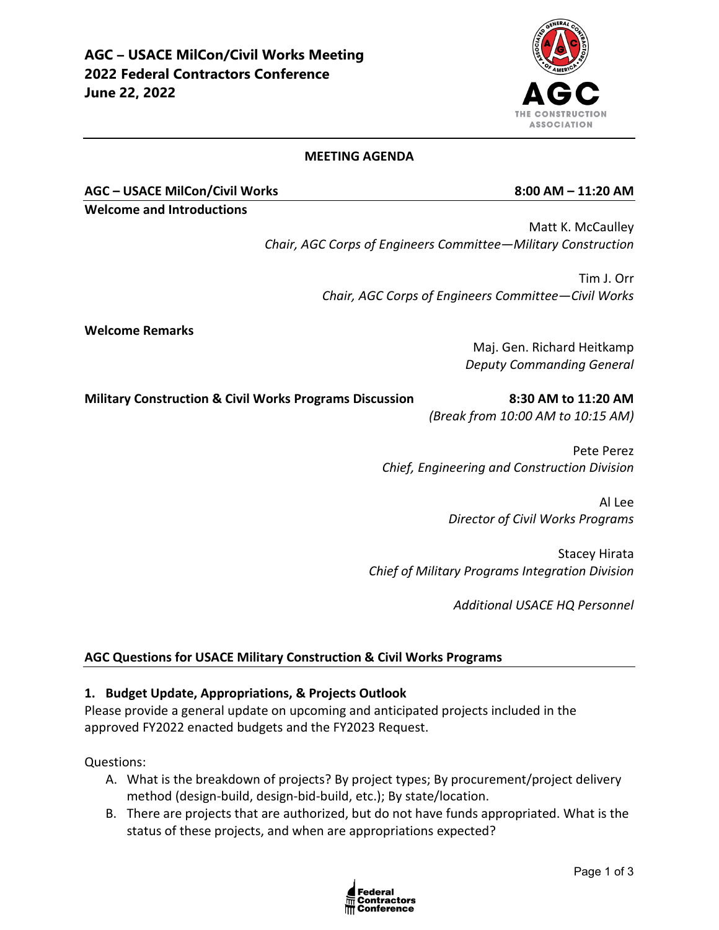#### **MEETING AGENDA**

**AGC – USACE MilCon/Civil Works 8:00 AM – 11:20 AM**

**Welcome and Introductions**

Matt K. McCaulley *Chair, AGC Corps of Engineers Committee—Military Construction* 

> Tim J. Orr *Chair, AGC Corps of Engineers Committee—Civil Works*

**Welcome Remarks**

Maj. Gen. Richard Heitkamp *Deputy Commanding General*

**Military Construction & Civil Works Programs Discussion 8:30 AM to 11:20 AM**

*(Break from 10:00 AM to 10:15 AM)*

Pete Perez *Chief, Engineering and Construction Division*

> Al Lee *Director of Civil Works Programs*

Stacey Hirata *Chief of Military Programs Integration Division*

*Additional USACE HQ Personnel*

#### **AGC Questions for USACE Military Construction & Civil Works Programs**

#### **1. Budget Update, Appropriations, & Projects Outlook**

Please provide a general update on upcoming and anticipated projects included in the approved FY2022 enacted budgets and the FY2023 Request.

Questions:

- A. What is the breakdown of projects? By project types; By procurement/project delivery method (design-build, design-bid-build, etc.); By state/location.
- B. There are projects that are authorized, but do not have funds appropriated. What is the status of these projects, and when are appropriations expected?



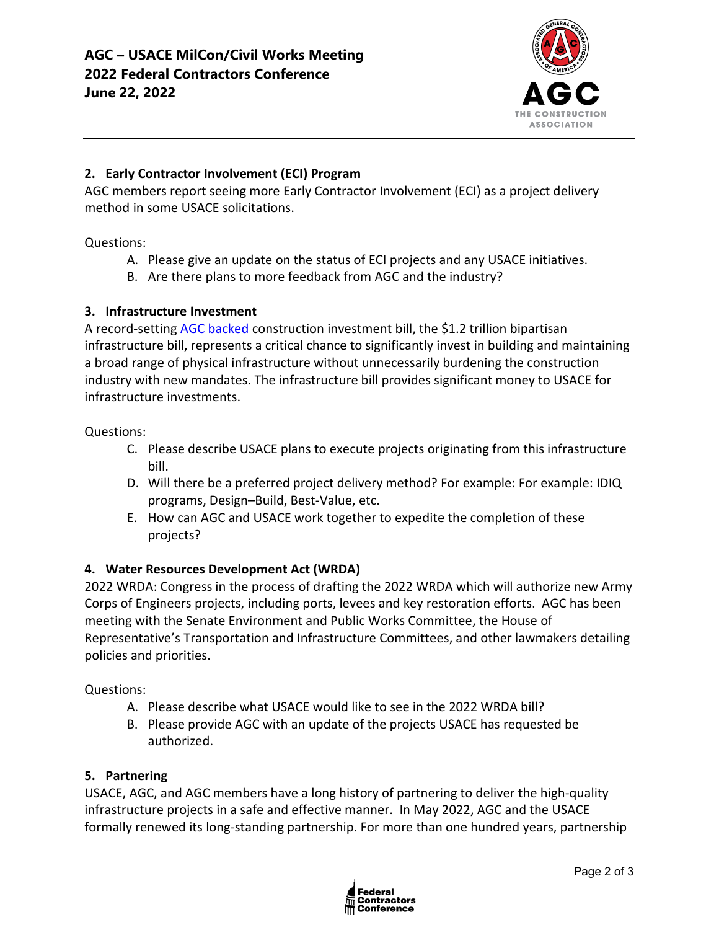

# **2. Early Contractor Involvement (ECI) Program**

AGC members report seeing more Early Contractor Involvement (ECI) as a project delivery method in some USACE solicitations.

Questions:

- A. Please give an update on the status of ECI projects and any USACE initiatives.
- B. Are there plans to more feedback from AGC and the industry?

# **3. Infrastructure Investment**

A record-setting **AGC backed** construction investment bill, the \$1.2 trillion bipartisan infrastructure bill, represents a critical chance to significantly invest in building and maintaining a broad range of physical infrastructure without unnecessarily burdening the construction industry with new mandates. The infrastructure bill provides significant money to USACE for infrastructure investments.

#### Questions:

- C. Please describe USACE plans to execute projects originating from this infrastructure bill.
- D. Will there be a preferred project delivery method? For example: For example: IDIQ programs, Design–Build, Best-Value, etc.
- E. How can AGC and USACE work together to expedite the completion of these projects?

# **4. Water Resources Development Act (WRDA)**

2022 WRDA: Congress in the process of drafting the 2022 WRDA which will authorize new Army Corps of Engineers projects, including ports, levees and key restoration efforts. AGC has been meeting with the Senate Environment and Public Works Committee, the House of Representative's Transportation and Infrastructure Committees, and other lawmakers detailing policies and priorities.

# Questions:

- A. Please describe what USACE would like to see in the 2022 WRDA bill?
- B. Please provide AGC with an update of the projects USACE has requested be authorized.

#### **5. Partnering**

USACE, AGC, and AGC members have a long history of partnering to deliver the high-quality infrastructure projects in a safe and effective manner. In May 2022, AGC and the USACE formally renewed its long-standing partnership. For more than one hundred years, partnership